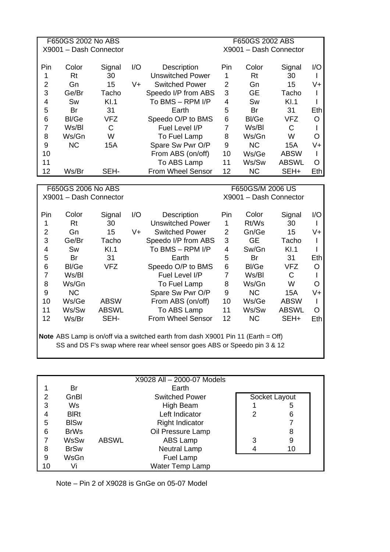| F650GS 2002 No ABS     |       |                  |     |                       | F650GS 2002 ABS        |           |              |      |  |
|------------------------|-------|------------------|-----|-----------------------|------------------------|-----------|--------------|------|--|
| X9001 - Dash Connector |       |                  |     |                       | X9001 - Dash Connector |           |              |      |  |
|                        |       |                  |     |                       |                        |           |              |      |  |
| Pin                    | Color | Signal           | I/O | Description           | Pin                    | Color     | Signal       | I/O  |  |
| 1                      | Rt    | 30               |     | Unswitched Power      | 1                      | Rt        | 30           |      |  |
| $\overline{2}$         | Gn    | 15               | V+  | <b>Switched Power</b> | $\overline{2}$         | Gn        | 15           | V+   |  |
| 3                      | Ge/Br | Tacho            |     | Speedo I/P from ABS   | 3                      | GE        | Tacho        |      |  |
| 4                      | Sw    | K <sub>1.1</sub> |     | To BMS - RPM I/P      | 4                      | <b>Sw</b> | KI.1         |      |  |
| 5                      | Br    | 31               |     | Earth                 | 5                      | Br        | 31           | Eth. |  |
| 6                      | Bl/Ge | VFZ              |     | Speedo O/P to BMS     | 6                      | Bl/Ge     | <b>VFZ</b>   | O    |  |
| 7                      | Ws/Bl | С                |     | Fuel Level I/P        | 7                      | Ws/Bl     | C            |      |  |
| 8                      | Ws/Gn | W                |     | To Fuel Lamp          | 8                      | Ws/Gn     | W            | ∩    |  |
| 9                      | NС    | 15A              |     | Spare Sw Pwr O/P      | 9                      | <b>NC</b> | 15A          | V+   |  |
| 10                     |       |                  |     | From ABS (on/off)     | 10                     | Ws/Ge     | <b>ABSW</b>  |      |  |
| 11                     |       |                  |     | To ABS Lamp           | 11                     | Ws/Sw     | <b>ABSWL</b> | ∩    |  |
| 12                     | Ws/Br | SEH-             |     | From Wheel Sensor     | 12                     | NC.       | SEH+         | Ethl |  |
|                        |       |                  |     |                       |                        |           |              |      |  |
| F650GS 2006 No ABS     |       |                  |     | F650GS/M 2006 US      |                        |           |              |      |  |

| X9001 - Dash Connector                                                                                                                                        |       |              |     |                       | X9001 - Dash Connector |           |              |     |
|---------------------------------------------------------------------------------------------------------------------------------------------------------------|-------|--------------|-----|-----------------------|------------------------|-----------|--------------|-----|
| Pin.                                                                                                                                                          | Color | Signal       | I/O | Description           | Pin                    | Color     | Signal       | I/O |
| 1                                                                                                                                                             | Rt    | 30           |     | Unswitched Power      | 1                      | Rt/Ws     | 30           |     |
| $\overline{2}$                                                                                                                                                | Gn    | 15           | V+  | <b>Switched Power</b> | 2                      | Gn/Ge     | 15           | V+  |
| 3                                                                                                                                                             | Ge/Br | Tacho        |     | Speedo I/P from ABS   | 3                      | GE.       | Tacho        |     |
| 4                                                                                                                                                             | Sw    | KI.1         |     | To BMS - RPM I/P      | 4                      | Sw/Gn     | KI.1         |     |
| 5                                                                                                                                                             | Br    | 31           |     | Earth                 | 5                      | Br        | 31           | Eth |
| 6                                                                                                                                                             | Bl/Ge | VFZ          |     | Speedo O/P to BMS     | 6                      | Bl/Ge     | VFZ.         | O   |
| 7                                                                                                                                                             | Ws/Bl |              |     | Fuel Level I/P        | 7                      | Ws/Bl     | C            |     |
| 8                                                                                                                                                             | Ws/Gn |              |     | To Fuel Lamp          | 8                      | Ws/Gn     | W            | O   |
| 9                                                                                                                                                             | NC.   |              |     | Spare Sw Pwr O/P      | 9                      | NC.       | 15A          | V+  |
| 10                                                                                                                                                            | Ws/Ge | <b>ABSW</b>  |     | From ABS (on/off)     | 10                     | Ws/Ge     | <b>ABSW</b>  |     |
| 11                                                                                                                                                            | Ws/Sw | <b>ABSWL</b> |     | To ABS Lamp           | 11                     | Ws/Sw     | <b>ABSWL</b> | O   |
| 12                                                                                                                                                            | Ws/Br | SEH-         |     | From Wheel Sensor     | 12                     | <b>NC</b> | SEH+         | Eth |
| Note ABS Lamp is on/off via a switched earth from dash X9001 Pin 11 (Earth = Off)<br>SS and DS F's swap where rear wheel sensor goes ABS or Speedo pin 3 & 12 |       |              |     |                       |                        |           |              |     |

|    |             |              | X9028 All - 2000-07 Models |   |               |  |
|----|-------------|--------------|----------------------------|---|---------------|--|
|    | Br          |              | Earth                      |   |               |  |
| 2  | GnBl        |              | <b>Switched Power</b>      |   | Socket Layout |  |
| 3  | Ws.         |              | High Beam                  |   | 5             |  |
| 4  | <b>BIRt</b> |              | Left Indicator             | 2 | 6             |  |
| 5  | <b>BISw</b> |              | <b>Right Indicator</b>     |   |               |  |
| 6  | <b>BrWs</b> |              | Oil Pressure Lamp          |   | 8             |  |
|    | <b>WsSw</b> | <b>ABSWL</b> | <b>ABS Lamp</b>            | 3 | 9             |  |
| 8  | <b>BrSw</b> |              | Neutral Lamp               |   | 10            |  |
| 9  | WsGn        |              | Fuel Lamp                  |   |               |  |
| 10 | Vi          |              | Water Temp Lamp            |   |               |  |

Note – Pin 2 of X9028 is GnGe on 05-07 Model